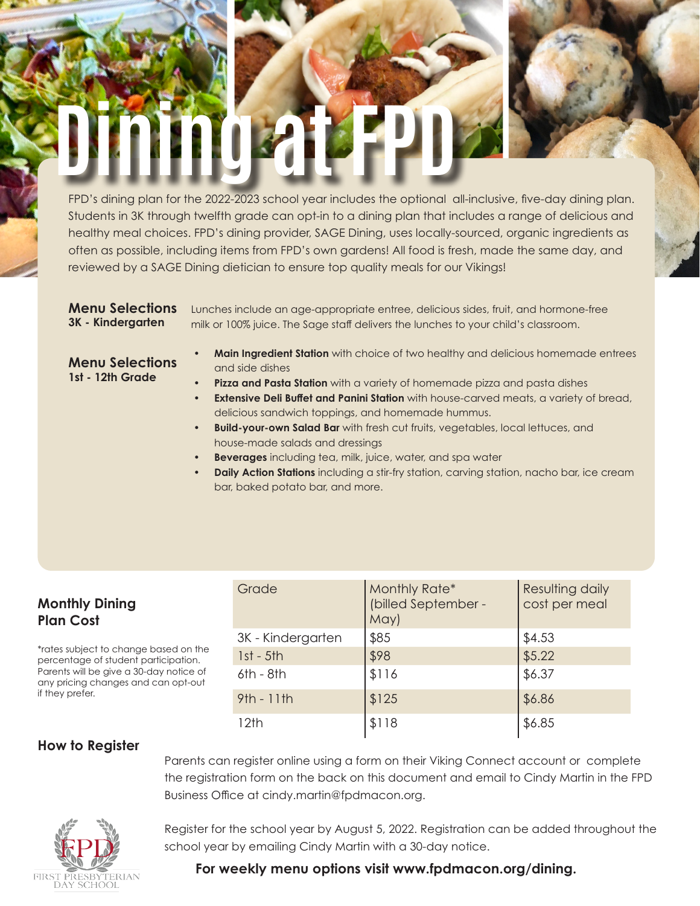# Dining at FPD

FPD's dining plan for the 2022-2023 school year includes the optional all-inclusive, five-day dining plan. Students in 3K through twelfth grade can opt-in to a dining plan that includes a range of delicious and healthy meal choices. FPD's dining provider, SAGE Dining, uses locally-sourced, organic ingredients as often as possible, including items from FPD's own gardens! All food is fresh, made the same day, and reviewed by a SAGE Dining dietician to ensure top quality meals for our Vikings!

**Menu Selections 3K - Kindergarten**

Lunches include an age-appropriate entree, delicious sides, fruit, and hormone-free milk or 100% juice. The Sage staff delivers the lunches to your child's classroom.

### **Menu Selections 1st - 12th Grade**

- **• Main Ingredient Station** with choice of two healthy and delicious homemade entrees and side dishes
- **• Pizza and Pasta Station** with a variety of homemade pizza and pasta dishes
- **Extensive Deli Buffet and Panini Station** with house-carved meats, a variety of bread, delicious sandwich toppings, and homemade hummus.
- **• Build-your-own Salad Bar** with fresh cut fruits, vegetables, local lettuces, and house-made salads and dressings
- **• Beverages** including tea, milk, juice, water, and spa water
- **baily Action Stations** including a stir-fry station, carving station, nacho bar, ice cream bar, baked potato bar, and more.

## **Monthly Dining Plan Cost**

\*rates subject to change based on the percentage of student participation. Parents will be give a 30-day notice of any pricing changes and can opt-out if they prefer.

| Grade             | Monthly Rate*<br>(billed September -<br>May) | Resulting daily<br>cost per meal |
|-------------------|----------------------------------------------|----------------------------------|
| 3K - Kindergarten | \$85                                         | \$4.53                           |
| $1st - 5th$       | \$98                                         | \$5.22                           |
| $6th - 8th$       | \$116                                        | \$6.37                           |
| $9th - 11th$      | \$125                                        | \$6.86                           |
| 12th              | \$118                                        | \$6.85                           |

# **How to Register**

Parents can register online using a form on their Viking Connect account or complete the registration form on the back on this document and email to Cindy Martin in the FPD Business Office at cindy.martin@fpdmacon.org.



Register for the school year by August 5, 2022. Registration can be added throughout the school year by emailing Cindy Martin with a 30-day notice.

# **For weekly menu options visit www.fpdmacon.org/dining.**